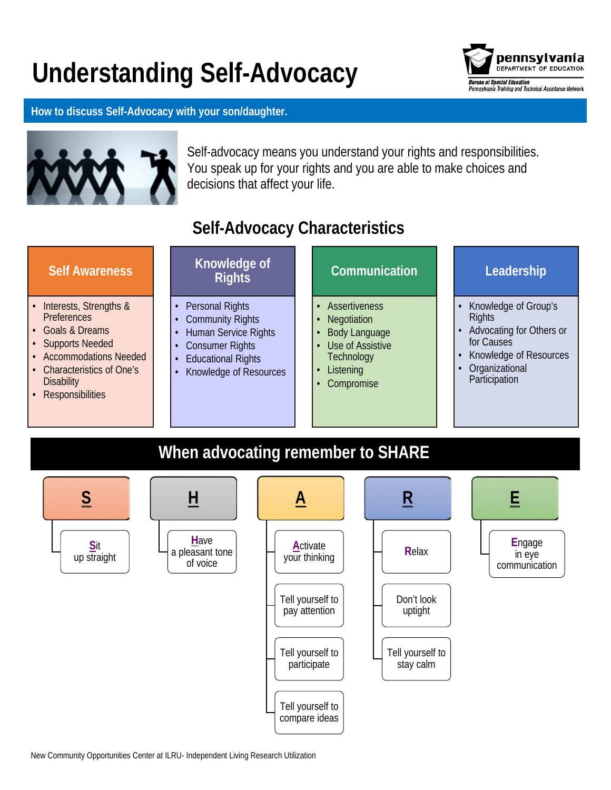# **Understanding Self-Advocacy**



**How to discuss Self-Advocacy with your son/daughter.**



Self-advocacy means you understand your rights and responsibilities. You speak up for your rights and you are able to make choices and decisions that affect your life.

# **Self-Advocacy Characteristics**

| <b>Self Awareness</b>                                                                                                                                                                       | Knowledge of<br><b>Rights</b>                                                                                                                                     | Communication                                                                                                                  | Leadership                                                                                                                                   |
|---------------------------------------------------------------------------------------------------------------------------------------------------------------------------------------------|-------------------------------------------------------------------------------------------------------------------------------------------------------------------|--------------------------------------------------------------------------------------------------------------------------------|----------------------------------------------------------------------------------------------------------------------------------------------|
| • Interests, Strengths &<br><b>Preferences</b><br>• Goals & Dreams<br>• Supports Needed<br>• Accommodations Needed<br>• Characteristics of One's<br><b>Disability</b><br>• Responsibilities | <b>Personal Rights</b><br><b>Community Rights</b><br><b>Human Service Rights</b><br><b>Consumer Rights</b><br><b>Educational Rights</b><br>Knowledge of Resources | Assertiveness<br>Negotiation<br><b>Body Language</b><br>Use of Assistive<br>$\bullet$<br>Technology<br>Listening<br>Compromise | Knowledge of Group's<br><b>Rights</b><br>Advocating for Others or<br>for Causes<br>Knowledge of Resources<br>Organizational<br>Participation |

# **When advocating remember to SHARE**